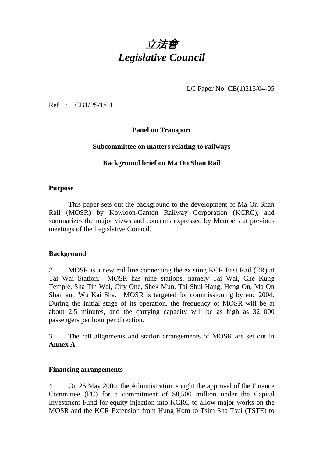

LC Paper No. CB(1)215/04-05

Ref : CB1/PS/1/04

**Panel on Transport** 

### **Subcommittee on matters relating to railways**

### **Background brief on Ma On Shan Rail**

### **Purpose**

This paper sets out the background to the development of Ma On Shan Rail (MOSR) by Kowloon-Canton Railway Corporation (KCRC), and summarizes the major views and concerns expressed by Members at previous meetings of the Legislative Council.

### **Background**

2. MOSR is a new rail line connecting the existing KCR East Rail (ER) at Tai Wai Station. MOSR has nine stations, namely Tai Wai, Che Kung Temple, Sha Tin Wai, City One, Shek Mun, Tai Shui Hang, Heng On, Ma On Shan and Wu Kai Sha. MOSR is targeted for commissioning by end 2004. During the initial stage of its operation, the frequency of MOSR will be at about 2.5 minutes, and the carrying capacity will be as high as 32 000 passengers per hour per direction.

3. The rail alignments and station arrangements of MOSR are set out in **Annex A**.

#### **Financing arrangements**

4. On 26 May 2000, the Administration sought the approval of the Finance Committee (FC) for a commitment of \$8,500 million under the Capital Investment Fund for equity injection into KCRC to allow major works on the MOSR and the KCR Extension from Hung Hom to Tsim Sha Tsui (TSTE) to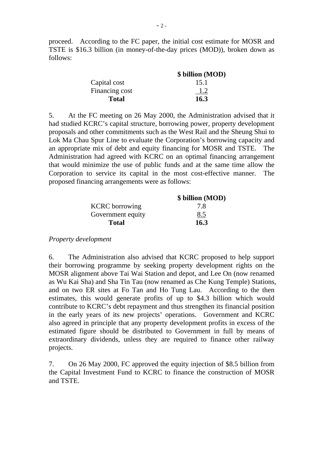proceed. According to the FC paper, the initial cost estimate for MOSR and TSTE is \$16.3 billion (in money-of-the-day prices (MOD)), broken down as follows:

|                | \$ billion (MOD) |
|----------------|------------------|
| Capital cost   | 15.1             |
| Financing cost | 1.2              |
| <b>Total</b>   | 16.3             |

5. At the FC meeting on 26 May 2000, the Administration advised that it had studied KCRC's capital structure, borrowing power, property development proposals and other commitments such as the West Rail and the Sheung Shui to Lok Ma Chau Spur Line to evaluate the Corporation's borrowing capacity and an appropriate mix of debt and equity financing for MOSR and TSTE. The Administration had agreed with KCRC on an optimal financing arrangement that would minimize the use of public funds and at the same time allow the Corporation to service its capital in the most cost-effective manner. The proposed financing arrangements were as follows:

|                       | \$ billion (MOD) |
|-----------------------|------------------|
| <b>KCRC</b> borrowing | 7.8              |
| Government equity     | 8.5              |
| <b>Total</b>          | 16.3             |

*Property development* 

6. The Administration also advised that KCRC proposed to help support their borrowing programme by seeking property development rights on the MOSR alignment above Tai Wai Station and depot, and Lee On (now renamed as Wu Kai Sha) and Sha Tin Tau (now renamed as Che Kung Temple) Stations, and on two ER sites at Fo Tan and Ho Tung Lau. According to the then estimates, this would generate profits of up to \$4.3 billion which would contribute to KCRC's debt repayment and thus strengthen its financial position in the early years of its new projects' operations. Government and KCRC also agreed in principle that any property development profits in excess of the estimated figure should be distributed to Government in full by means of extraordinary dividends, unless they are required to finance other railway projects.

7. On 26 May 2000, FC approved the equity injection of \$8.5 billion from the Capital Investment Fund to KCRC to finance the construction of MOSR and TSTE.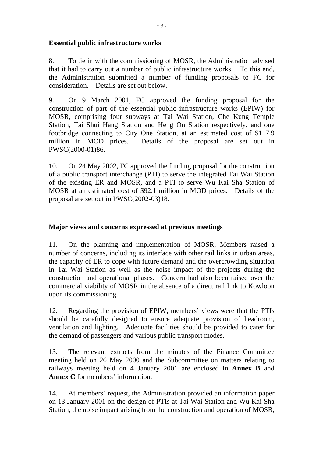### **Essential public infrastructure works**

8. To tie in with the commissioning of MOSR, the Administration advised that it had to carry out a number of public infrastructure works. To this end, the Administration submitted a number of funding proposals to FC for consideration. Details are set out below.

9. On 9 March 2001, FC approved the funding proposal for the construction of part of the essential public infrastructure works (EPIW) for MOSR, comprising four subways at Tai Wai Station, Che Kung Temple Station, Tai Shui Hang Station and Heng On Station respectively, and one footbridge connecting to City One Station, at an estimated cost of \$117.9 million in MOD prices. Details of the proposal are set out in PWSC(2000-01)86.

10. On 24 May 2002, FC approved the funding proposal for the construction of a public transport interchange (PTI) to serve the integrated Tai Wai Station of the existing ER and MOSR, and a PTI to serve Wu Kai Sha Station of MOSR at an estimated cost of \$92.1 million in MOD prices. Details of the proposal are set out in PWSC(2002-03)18.

### **Major views and concerns expressed at previous meetings**

11. On the planning and implementation of MOSR, Members raised a number of concerns, including its interface with other rail links in urban areas, the capacity of ER to cope with future demand and the overcrowding situation in Tai Wai Station as well as the noise impact of the projects during the construction and operational phases. Concern had also been raised over the commercial viability of MOSR in the absence of a direct rail link to Kowloon upon its commissioning.

12. Regarding the provision of EPIW, members' views were that the PTIs should be carefully designed to ensure adequate provision of headroom, ventilation and lighting. Adequate facilities should be provided to cater for the demand of passengers and various public transport modes.

13. The relevant extracts from the minutes of the Finance Committee meeting held on 26 May 2000 and the Subcommittee on matters relating to railways meeting held on 4 January 2001 are enclosed in **Annex B** and **Annex C** for members' information.

14. At members' request, the Administration provided an information paper on 13 January 2001 on the design of PTIs at Tai Wai Station and Wu Kai Sha Station, the noise impact arising from the construction and operation of MOSR,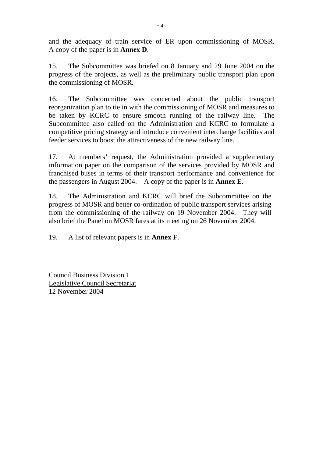and the adequacy of train service of ER upon commissioning of MOSR. A copy of the paper is in **Annex D**.

15. The Subcommittee was briefed on 8 January and 29 June 2004 on the progress of the projects, as well as the preliminary public transport plan upon the commissioning of MOSR.

16. The Subcommittee was concerned about the public transport reorganization plan to tie in with the commissioning of MOSR and measures to be taken by KCRC to ensure smooth running of the railway line. The Subcommittee also called on the Administration and KCRC to formulate a competitive pricing strategy and introduce convenient interchange facilities and feeder services to boost the attractiveness of the new railway line.

17. At members' request, the Administration provided a supplementary information paper on the comparison of the services provided by MOSR and franchised buses in terms of their transport performance and convenience for the passengers in August 2004. A copy of the paper is in **Annex E**.

18. The Administration and KCRC will brief the Subcommittee on the progress of MOSR and better co-ordination of public transport services arising from the commissioning of the railway on 19 November 2004. They will also brief the Panel on MOSR fares at its meeting on 26 November 2004.

19. A list of relevant papers is in **Annex F**.

Council Business Division 1 Legislative Council Secretariat 12 November 2004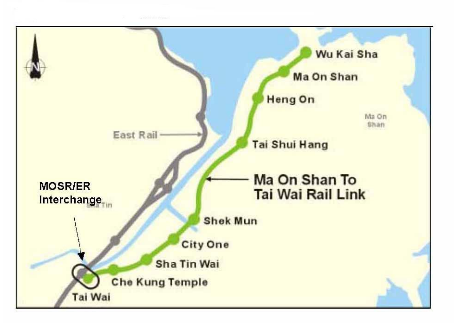

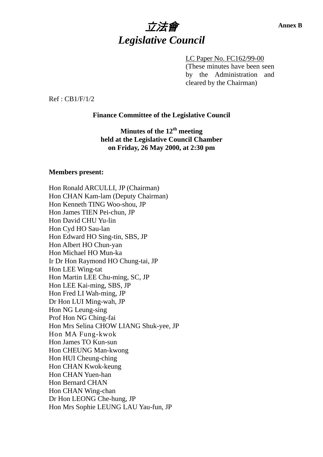

LC Paper No. FC162/99-00 (These minutes have been seen by the Administration and cleared by the Chairman)

Ref : CB1/F/1/2

#### **Finance Committee of the Legislative Council**

**Minutes of the 12th meeting held at the Legislative Council Chamber on Friday, 26 May 2000, at 2:30 pm** 

#### **Members present:**

Hon Ronald ARCULLI, JP (Chairman) Hon CHAN Kam-lam (Deputy Chairman) Hon Kenneth TING Woo-shou, JP Hon James TIEN Pei-chun, JP Hon David CHU Yu-lin Hon Cyd HO Sau-lan Hon Edward HO Sing-tin, SBS, JP Hon Albert HO Chun-yan Hon Michael HO Mun-ka Ir Dr Hon Raymond HO Chung-tai, JP Hon LEE Wing-tat Hon Martin LEE Chu-ming, SC, JP Hon LEE Kai-ming, SBS, JP Hon Fred LI Wah-ming, JP Dr Hon LUI Ming-wah, JP Hon NG Leung-sing Prof Hon NG Ching-fai Hon Mrs Selina CHOW LIANG Shuk-yee, JP Hon MA Fung-kwok Hon James TO Kun-sun Hon CHEUNG Man-kwong Hon HUI Cheung-ching Hon CHAN Kwok-keung Hon CHAN Yuen-han Hon Bernard CHAN Hon CHAN Wing-chan Dr Hon LEONG Che-hung, JP Hon Mrs Sophie LEUNG LAU Yau-fun, JP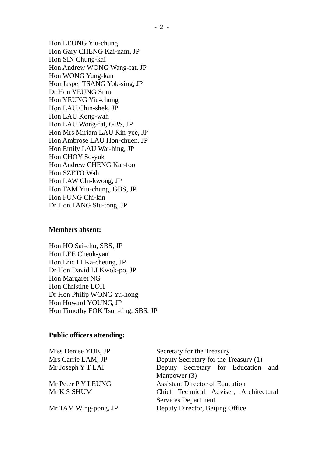Hon LEUNG Yiu-chung Hon Gary CHENG Kai-nam, JP Hon SIN Chung-kai Hon Andrew WONG Wang-fat, JP Hon WONG Yung-kan Hon Jasper TSANG Yok-sing, JP Dr Hon YEUNG Sum Hon YEUNG Yiu-chung Hon LAU Chin-shek, JP Hon LAU Kong-wah Hon LAU Wong-fat, GBS, JP Hon Mrs Miriam LAU Kin-yee, JP Hon Ambrose LAU Hon-chuen, JP Hon Emily LAU Wai-hing, JP Hon CHOY So-yuk Hon Andrew CHENG Kar-foo Hon SZETO Wah Hon LAW Chi-kwong, JP Hon TAM Yiu-chung, GBS, JP Hon FUNG Chi-kin Dr Hon TANG Siu-tong, JP

#### **Members absent:**

Hon HO Sai-chu, SBS, JP Hon LEE Cheuk-yan Hon Eric LI Ka-cheung, JP Dr Hon David LI Kwok-po, JP Hon Margaret NG Hon Christine LOH Dr Hon Philip WONG Yu-hong Hon Howard YOUNG, JP Hon Timothy FOK Tsun-ting, SBS, JP

#### **Public officers attending:**

| Miss Denise YUE, JP  | Secretary for the Treasury             |  |  |  |
|----------------------|----------------------------------------|--|--|--|
| Mrs Carrie LAM, JP   | Deputy Secretary for the Treasury (1)  |  |  |  |
| Mr Joseph Y T LAI    | Deputy Secretary for Education and     |  |  |  |
|                      | Manpower $(3)$                         |  |  |  |
| Mr Peter P Y LEUNG   | <b>Assistant Director of Education</b> |  |  |  |
| Mr K S SHUM          | Chief Technical Adviser, Architectural |  |  |  |
|                      | <b>Services Department</b>             |  |  |  |
| Mr TAM Wing-pong, JP | Deputy Director, Beijing Office        |  |  |  |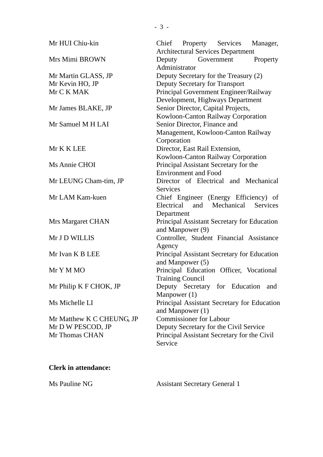| Mr HUI Chiu-kin           | Chief Property Services<br>Manager,<br><b>Architectural Services Department</b> |  |  |  |  |
|---------------------------|---------------------------------------------------------------------------------|--|--|--|--|
| Mrs Mimi BROWN            | Deputy<br>Government<br>Property<br>Administrator                               |  |  |  |  |
| Mr Martin GLASS, JP       | Deputy Secretary for the Treasury (2)                                           |  |  |  |  |
| Mr Kevin HO, JP           | Deputy Secretary for Transport                                                  |  |  |  |  |
| Mr C K MAK                | Principal Government Engineer/Railway                                           |  |  |  |  |
|                           | Development, Highways Department                                                |  |  |  |  |
| Mr James BLAKE, JP        | Senior Director, Capital Projects,                                              |  |  |  |  |
|                           | Kowloon-Canton Railway Corporation                                              |  |  |  |  |
| Mr Samuel M H LAI         | Senior Director, Finance and                                                    |  |  |  |  |
|                           | Management, Kowloon-Canton Railway                                              |  |  |  |  |
|                           | Corporation                                                                     |  |  |  |  |
| Mr K K LEE                | Director, East Rail Extension,                                                  |  |  |  |  |
|                           | Kowloon-Canton Railway Corporation                                              |  |  |  |  |
| Ms Annie CHOI             | Principal Assistant Secretary for the                                           |  |  |  |  |
|                           | <b>Environment and Food</b>                                                     |  |  |  |  |
| Mr LEUNG Cham-tim, JP     | Director of Electrical and Mechanical                                           |  |  |  |  |
|                           | <b>Services</b>                                                                 |  |  |  |  |
| Mr LAM Kam-kuen           | Chief Engineer (Energy Efficiency) of<br>Electrical and Mechanical<br>Services  |  |  |  |  |
|                           | Department                                                                      |  |  |  |  |
| Mrs Margaret CHAN         | Principal Assistant Secretary for Education<br>and Manpower (9)                 |  |  |  |  |
| Mr J D WILLIS             | Controller, Student Financial Assistance                                        |  |  |  |  |
|                           | Agency                                                                          |  |  |  |  |
| Mr Ivan K B LEE           | Principal Assistant Secretary for Education<br>and Manpower (5)                 |  |  |  |  |
| Mr Y M MO                 | Principal Education Officer, Vocational<br><b>Training Council</b>              |  |  |  |  |
| Mr Philip K F CHOK, JP    | Deputy Secretary for Education<br>and                                           |  |  |  |  |
|                           | Manpower $(1)$                                                                  |  |  |  |  |
| Ms Michelle LI            | Principal Assistant Secretary for Education<br>and Manpower $(1)$               |  |  |  |  |
| Mr Matthew K C CHEUNG, JP | <b>Commissioner for Labour</b>                                                  |  |  |  |  |
| Mr D W PESCOD, JP         | Deputy Secretary for the Civil Service                                          |  |  |  |  |
| Mr Thomas CHAN            | Principal Assistant Secretary for the Civil<br>Service                          |  |  |  |  |
|                           |                                                                                 |  |  |  |  |

# **Clerk in attendance:**

Ms Pauline NG Assistant Secretary General 1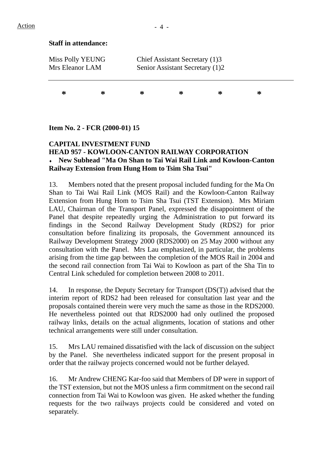### **Staff in attendance:**

| Miss Polly YEUNG<br>Mrs Eleanor LAM |   |   | Chief Assistant Secretary (1)3<br>Senior Assistant Secretary (1)2 |   |   |  |
|-------------------------------------|---|---|-------------------------------------------------------------------|---|---|--|
| ∗                                   | ∗ | ∗ | ∗                                                                 | ∗ | ∗ |  |

### **Item No. 2 - FCR (2000-01) 15**

### **CAPITAL INVESTMENT FUND HEAD 957 - KOWLOON-CANTON RAILWAY CORPORATION**  ♦ **New Subhead "Ma On Shan to Tai Wai Rail Link and Kowloon-Canton Railway Extension from Hung Hom to Tsim Sha Tsui"**

13. Members noted that the present proposal included funding for the Ma On Shan to Tai Wai Rail Link (MOS Rail) and the Kowloon-Canton Railway Extension from Hung Hom to Tsim Sha Tsui (TST Extension). Mrs Miriam LAU, Chairman of the Transport Panel, expressed the disappointment of the Panel that despite repeatedly urging the Administration to put forward its findings in the Second Railway Development Study (RDS2) for prior consultation before finalizing its proposals, the Government announced its Railway Development Strategy 2000 (RDS2000) on 25 May 2000 without any consultation with the Panel. Mrs Lau emphasized, in particular, the problems arising from the time gap between the completion of the MOS Rail in 2004 and the second rail connection from Tai Wai to Kowloon as part of the Sha Tin to Central Link scheduled for completion between 2008 to 2011.

14. In response, the Deputy Secretary for Transport (DS(T)) advised that the interim report of RDS2 had been released for consultation last year and the proposals contained therein were very much the same as those in the RDS2000. He nevertheless pointed out that RDS2000 had only outlined the proposed railway links, details on the actual alignments, location of stations and other technical arrangements were still under consultation.

15. Mrs LAU remained dissatisfied with the lack of discussion on the subject by the Panel. She nevertheless indicated support for the present proposal in order that the railway projects concerned would not be further delayed.

16. Mr Andrew CHENG Kar-foo said that Members of DP were in support of the TST extension, but not the MOS unless a firm commitment on the second rail connection from Tai Wai to Kowloon was given. He asked whether the funding requests for the two railways projects could be considered and voted on separately.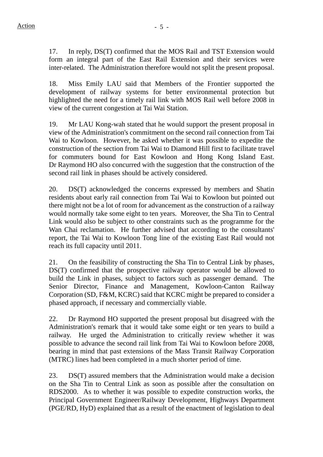17. In reply, DS(T) confirmed that the MOS Rail and TST Extension would form an integral part of the East Rail Extension and their services were inter-related. The Administration therefore would not split the present proposal.

18. Miss Emily LAU said that Members of the Frontier supported the development of railway systems for better environmental protection but highlighted the need for a timely rail link with MOS Rail well before 2008 in view of the current congestion at Tai Wai Station.

19. Mr LAU Kong-wah stated that he would support the present proposal in view of the Administration's commitment on the second rail connection from Tai Wai to Kowloon. However, he asked whether it was possible to expedite the construction of the section from Tai Wai to Diamond Hill first to facilitate travel for commuters bound for East Kowloon and Hong Kong Island East. Dr Raymond HO also concurred with the suggestion that the construction of the second rail link in phases should be actively considered.

20. DS(T) acknowledged the concerns expressed by members and Shatin residents about early rail connection from Tai Wai to Kowloon but pointed out there might not be a lot of room for advancement as the construction of a railway would normally take some eight to ten years. Moreover, the Sha Tin to Central Link would also be subject to other constraints such as the programme for the Wan Chai reclamation. He further advised that according to the consultants' report, the Tai Wai to Kowloon Tong line of the existing East Rail would not reach its full capacity until 2011.

21. On the feasibility of constructing the Sha Tin to Central Link by phases, DS(T) confirmed that the prospective railway operator would be allowed to build the Link in phases, subject to factors such as passenger demand. The Senior Director, Finance and Management, Kowloon-Canton Railway Corporation (SD, F&M, KCRC) said that KCRC might be prepared to consider a phased approach, if necessary and commercially viable.

22. Dr Raymond HO supported the present proposal but disagreed with the Administration's remark that it would take some eight or ten years to build a railway. He urged the Administration to critically review whether it was possible to advance the second rail link from Tai Wai to Kowloon before 2008, bearing in mind that past extensions of the Mass Transit Railway Corporation (MTRC) lines had been completed in a much shorter period of time.

23. DS(T) assured members that the Administration would make a decision on the Sha Tin to Central Link as soon as possible after the consultation on RDS2000. As to whether it was possible to expedite construction works, the Principal Government Engineer/Railway Development, Highways Department (PGE/RD, HyD) explained that as a result of the enactment of legislation to deal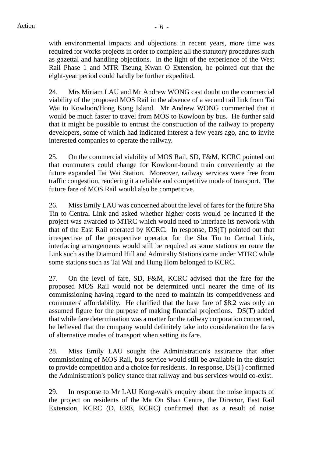with environmental impacts and objections in recent years, more time was required for works projects in order to complete all the statutory procedures such as gazettal and handling objections. In the light of the experience of the West Rail Phase 1 and MTR Tseung Kwan O Extension, he pointed out that the eight-year period could hardly be further expedited.

24. Mrs Miriam LAU and Mr Andrew WONG cast doubt on the commercial viability of the proposed MOS Rail in the absence of a second rail link from Tai Wai to Kowloon/Hong Kong Island. Mr Andrew WONG commented that it would be much faster to travel from MOS to Kowloon by bus. He further said that it might be possible to entrust the construction of the railway to property developers, some of which had indicated interest a few years ago, and to invite interested companies to operate the railway.

25. On the commercial viability of MOS Rail, SD, F&M, KCRC pointed out that commuters could change for Kowloon-bound train conveniently at the future expanded Tai Wai Station. Moreover, railway services were free from traffic congestion, rendering it a reliable and competitive mode of transport. The future fare of MOS Rail would also be competitive.

26. Miss Emily LAU was concerned about the level of fares for the future Sha Tin to Central Link and asked whether higher costs would be incurred if the project was awarded to MTRC which would need to interface its network with that of the East Rail operated by KCRC. In response, DS(T) pointed out that irrespective of the prospective operator for the Sha Tin to Central Link, interfacing arrangements would still be required as some stations en route the Link such as the Diamond Hill and Admiralty Stations came under MTRC while some stations such as Tai Wai and Hung Hom belonged to KCRC.

27. On the level of fare, SD, F&M, KCRC advised that the fare for the proposed MOS Rail would not be determined until nearer the time of its commissioning having regard to the need to maintain its competitiveness and commuters' affordability. He clarified that the base fare of \$8.2 was only an assumed figure for the purpose of making financial projections. DS(T) added that while fare determination was a matter for the railway corporation concerned, he believed that the company would definitely take into consideration the fares of alternative modes of transport when setting its fare.

28. Miss Emily LAU sought the Administration's assurance that after commissioning of MOS Rail, bus service would still be available in the district to provide competition and a choice for residents. In response, DS(T) confirmed the Administration's policy stance that railway and bus services would co-exist.

29. In response to Mr LAU Kong-wah's enquiry about the noise impacts of the project on residents of the Ma On Shan Centre, the Director, East Rail Extension, KCRC (D, ERE, KCRC) confirmed that as a result of noise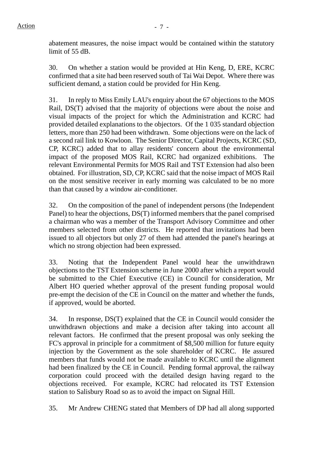abatement measures, the noise impact would be contained within the statutory limit of 55 dB.

30. On whether a station would be provided at Hin Keng, D, ERE, KCRC confirmed that a site had been reserved south of Tai Wai Depot. Where there was sufficient demand, a station could be provided for Hin Keng.

31. In reply to Miss Emily LAU's enquiry about the 67 objections to the MOS Rail, DS(T) advised that the majority of objections were about the noise and visual impacts of the project for which the Administration and KCRC had provided detailed explanations to the objectors. Of the 1 035 standard objection letters, more than 250 had been withdrawn. Some objections were on the lack of a second rail link to Kowloon. The Senior Director, Capital Projects, KCRC (SD, CP, KCRC) added that to allay residents' concern about the environmental impact of the proposed MOS Rail, KCRC had organized exhibitions. The relevant Environmental Permits for MOS Rail and TST Extension had also been obtained. For illustration, SD, CP, KCRC said that the noise impact of MOS Rail on the most sensitive receiver in early morning was calculated to be no more than that caused by a window air-conditioner.

32. On the composition of the panel of independent persons (the Independent Panel) to hear the objections, DS(T) informed members that the panel comprised a chairman who was a member of the Transport Advisory Committee and other members selected from other districts. He reported that invitations had been issued to all objectors but only 27 of them had attended the panel's hearings at which no strong objection had been expressed.

33. Noting that the Independent Panel would hear the unwithdrawn objections to the TST Extension scheme in June 2000 after which a report would be submitted to the Chief Executive (CE) in Council for consideration, Mr Albert HO queried whether approval of the present funding proposal would pre-empt the decision of the CE in Council on the matter and whether the funds, if approved, would be aborted.

34. In response, DS(T) explained that the CE in Council would consider the unwithdrawn objections and make a decision after taking into account all relevant factors. He confirmed that the present proposal was only seeking the FC's approval in principle for a commitment of \$8,500 million for future equity injection by the Government as the sole shareholder of KCRC. He assured members that funds would not be made available to KCRC until the alignment had been finalized by the CE in Council. Pending formal approval, the railway corporation could proceed with the detailed design having regard to the objections received. For example, KCRC had relocated its TST Extension station to Salisbury Road so as to avoid the impact on Signal Hill.

35. Mr Andrew CHENG stated that Members of DP had all along supported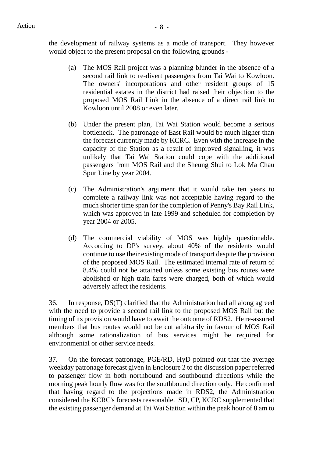- (a) The MOS Rail project was a planning blunder in the absence of a second rail link to re-divert passengers from Tai Wai to Kowloon. The owners' incorporations and other resident groups of 15 residential estates in the district had raised their objection to the proposed MOS Rail Link in the absence of a direct rail link to Kowloon until 2008 or even later.
- (b) Under the present plan, Tai Wai Station would become a serious bottleneck. The patronage of East Rail would be much higher than the forecast currently made by KCRC. Even with the increase in the capacity of the Station as a result of improved signalling, it was unlikely that Tai Wai Station could cope with the additional passengers from MOS Rail and the Sheung Shui to Lok Ma Chau Spur Line by year 2004.
- (c) The Administration's argument that it would take ten years to complete a railway link was not acceptable having regard to the much shorter time span for the completion of Penny's Bay Rail Link, which was approved in late 1999 and scheduled for completion by year 2004 or 2005.
- (d) The commercial viability of MOS was highly questionable. According to DP's survey, about 40% of the residents would continue to use their existing mode of transport despite the provision of the proposed MOS Rail. The estimated internal rate of return of 8.4% could not be attained unless some existing bus routes were abolished or high train fares were charged, both of which would adversely affect the residents.

36. In response, DS(T) clarified that the Administration had all along agreed with the need to provide a second rail link to the proposed MOS Rail but the timing of its provision would have to await the outcome of RDS2. He re-assured members that bus routes would not be cut arbitrarily in favour of MOS Rail although some rationalization of bus services might be required for environmental or other service needs.

37. On the forecast patronage, PGE/RD, HyD pointed out that the average weekday patronage forecast given in Enclosure 2 to the discussion paper referred to passenger flow in both northbound and southbound directions while the morning peak hourly flow was for the southbound direction only. He confirmed that having regard to the projections made in RDS2, the Administration considered the KCRC's forecasts reasonable. SD, CP, KCRC supplemented that the existing passenger demand at Tai Wai Station within the peak hour of 8 am to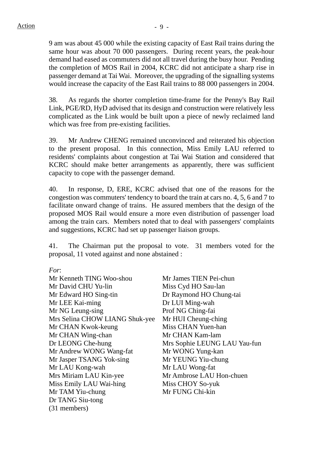9 am was about 45 000 while the existing capacity of East Rail trains during the same hour was about 70 000 passengers. During recent years, the peak-hour demand had eased as commuters did not all travel during the busy hour. Pending the completion of MOS Rail in 2004, KCRC did not anticipate a sharp rise in passenger demand at Tai Wai. Moreover, the upgrading of the signalling systems would increase the capacity of the East Rail trains to 88 000 passengers in 2004.

38. As regards the shorter completion time-frame for the Penny's Bay Rail Link, PGE/RD, HyD advised that its design and construction were relatively less complicated as the Link would be built upon a piece of newly reclaimed land which was free from pre-existing facilities.

39. Mr Andrew CHENG remained unconvinced and reiterated his objection to the present proposal. In this connection, Miss Emily LAU referred to residents' complaints about congestion at Tai Wai Station and considered that KCRC should make better arrangements as apparently, there was sufficient capacity to cope with the passenger demand.

40. In response, D, ERE, KCRC advised that one of the reasons for the congestion was commuters' tendency to board the train at cars no. 4, 5, 6 and 7 to facilitate onward change of trains. He assured members that the design of the proposed MOS Rail would ensure a more even distribution of passenger load among the train cars. Members noted that to deal with passengers' complaints and suggestions, KCRC had set up passenger liaison groups.

41. The Chairman put the proposal to vote. 31 members voted for the proposal, 11 voted against and none abstained :

*For*:

| Mr Kenneth TING Woo-shou       | Mr James TIEN Pei-chun       |
|--------------------------------|------------------------------|
| Mr David CHU Yu-lin            | Miss Cyd HO Sau-lan          |
| Mr Edward HO Sing-tin          | Dr Raymond HO Chung-tai      |
| Mr LEE Kai-ming                | Dr LUI Ming-wah              |
| Mr NG Leung-sing               | Prof NG Ching-fai            |
| Mrs Selina CHOW LIANG Shuk-yee | Mr HUI Cheung-ching          |
| Mr CHAN Kwok-keung             | Miss CHAN Yuen-han           |
| Mr CHAN Wing-chan              | Mr CHAN Kam-lam              |
| Dr LEONG Che-hung              | Mrs Sophie LEUNG LAU Yau-fun |
| Mr Andrew WONG Wang-fat        | Mr WONG Yung-kan             |
| Mr Jasper TSANG Yok-sing       | Mr YEUNG Yiu-chung           |
| Mr LAU Kong-wah                | Mr LAU Wong-fat              |
| Mrs Miriam LAU Kin-yee         | Mr Ambrose LAU Hon-chuen     |
| Miss Emily LAU Wai-hing        | Miss CHOY So-yuk             |
| Mr TAM Yiu-chung               | Mr FUNG Chi-kin              |
| Dr TANG Siu-tong               |                              |
| (31 members)                   |                              |
|                                |                              |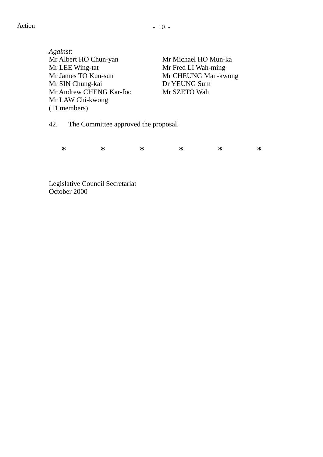*Against*: Mr Albert HO Chun-yan Mr Michael HO Mun-ka Mr LEE Wing-tat Mr Fred LI Wah-ming Mr James TO Kun-sun Mr CHEUNG Man-kwong Mr SIN Chung-kai Dr YEUNG Sum Mr Andrew CHENG Kar-foo Mr SZETO Wah Mr LAW Chi-kwong (11 members)

42. The Committee approved the proposal.

**\* \* \* \* \* \*** 

Legislative Council Secretariat October 2000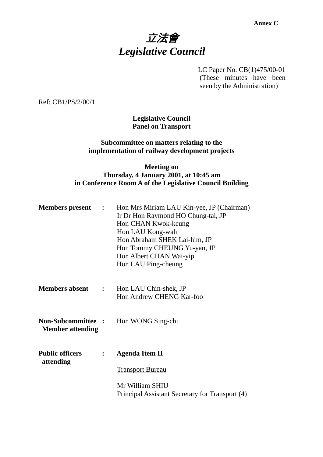# 立法會 *Legislative Council*

LC Paper No. CB(1)475/00-01 (These minutes have been seen by the Administration)

Ref: CB1/PS/2/00/1

**Legislative Council Panel on Transport** 

### **Subcommittee on matters relating to the implementation of railway development projects**

### **Meeting on Thursday, 4 January 2001, at 10:45 am in Conference Room A of the Legislative Council Building**

| <b>Members</b> present                               | $\mathbf{L}$        | Hon Mrs Miriam LAU Kin-yee, JP (Chairman)<br>Ir Dr Hon Raymond HO Chung-tai, JP<br>Hon CHAN Kwok-keung<br>Hon LAU Kong-wah<br>Hon Abraham SHEK Lai-him, JP<br>Hon Tommy CHEUNG Yu-yan, JP<br>Hon Albert CHAN Wai-yip<br>Hon LAU Ping-cheung |
|------------------------------------------------------|---------------------|---------------------------------------------------------------------------------------------------------------------------------------------------------------------------------------------------------------------------------------------|
| <b>Members absent</b>                                | $\sim$ 1.000 $\sim$ | Hon LAU Chin-shek, JP<br>Hon Andrew CHENG Kar-foo                                                                                                                                                                                           |
| <b>Non-Subcommittee :</b><br><b>Member attending</b> |                     | Hon WONG Sing-chi                                                                                                                                                                                                                           |
| <b>Public officers</b>                               |                     | <b>Agenda Item II</b>                                                                                                                                                                                                                       |
| attending                                            |                     | <b>Transport Bureau</b>                                                                                                                                                                                                                     |
|                                                      |                     | Mr William SHIU<br>Principal Assistant Secretary for Transport (4)                                                                                                                                                                          |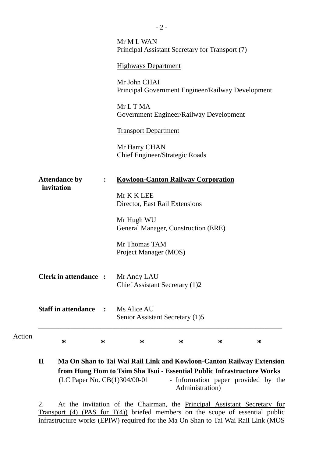|        |                                                                                                   |                | Mr M L WAN<br>Principal Assistant Secretary for Transport (7)     |  |  |  |  |
|--------|---------------------------------------------------------------------------------------------------|----------------|-------------------------------------------------------------------|--|--|--|--|
|        |                                                                                                   |                | <b>Highways Department</b>                                        |  |  |  |  |
|        |                                                                                                   |                | Mr John CHAI<br>Principal Government Engineer/Railway Development |  |  |  |  |
|        |                                                                                                   |                | Mr L T MA<br>Government Engineer/Railway Development              |  |  |  |  |
|        |                                                                                                   |                | <b>Transport Department</b>                                       |  |  |  |  |
|        |                                                                                                   |                | Mr Harry CHAN<br><b>Chief Engineer/Strategic Roads</b>            |  |  |  |  |
|        | <b>Kowloon-Canton Railway Corporation</b><br><b>Attendance by</b><br>$\ddot{\cdot}$<br>invitation |                |                                                                   |  |  |  |  |
|        |                                                                                                   |                | Mr K K LEE<br>Director, East Rail Extensions                      |  |  |  |  |
|        |                                                                                                   |                | Mr Hugh WU<br>General Manager, Construction (ERE)                 |  |  |  |  |
|        |                                                                                                   |                | Mr Thomas TAM<br>Project Manager (MOS)                            |  |  |  |  |
|        | <b>Clerk in attendance :</b>                                                                      |                | Mr Andy LAU<br>Chief Assistant Secretary (1)2                     |  |  |  |  |
|        | <b>Staff in attendance</b>                                                                        | $\ddot{\cdot}$ | Ms Alice AU<br>Senior Assistant Secretary (1)5                    |  |  |  |  |
| Action | ∗                                                                                                 | ∗              | ∗<br>∗<br>∗<br>∗                                                  |  |  |  |  |
|        |                                                                                                   |                |                                                                   |  |  |  |  |

| $\mathbf{I}$ |                                | Ma On Shan to Tai Wai Rail Link and Kowloon-Canton Railway Extension   |
|--------------|--------------------------------|------------------------------------------------------------------------|
|              |                                | from Hung Hom to Tsim Sha Tsui - Essential Public Infrastructure Works |
|              | (LC Paper No. $CB(1)304/00-01$ | - Information paper provided by the                                    |
|              |                                | Administration)                                                        |

2. At the invitation of the Chairman, the Principal Assistant Secretary for Transport  $(4)$  (PAS for  $T(4)$ ) briefed members on the scope of essential public infrastructure works (EPIW) required for the Ma On Shan to Tai Wai Rail Link (MOS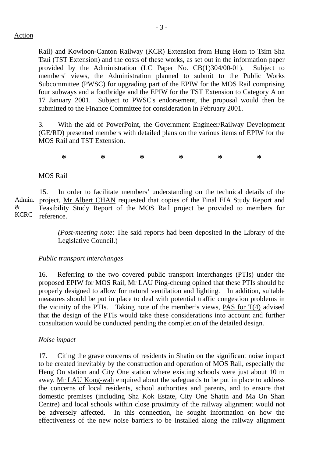Rail) and Kowloon-Canton Railway (KCR) Extension from Hung Hom to Tsim Sha Tsui (TST Extension) and the costs of these works, as set out in the information paper provided by the Administration (LC Paper No. CB(1)304/00-01). Subject to members' views, the Administration planned to submit to the Public Works Subcommittee (PWSC) for upgrading part of the EPIW for the MOS Rail comprising four subways and a footbridge and the EPIW for the TST Extension to Category A on 17 January 2001. Subject to PWSC's endorsement, the proposal would then be submitted to the Finance Committee for consideration in February 2001.

3. With the aid of PowerPoint, the Government Engineer/Railway Development (GE/RD) presented members with detailed plans on the various items of EPIW for the MOS Rail and TST Extension.

**\* \* \* \* \* \*** 

### MOS Rail

Admin. project, Mr Albert CHAN requested that copies of the Final EIA Study Report and & KCRC 15. In order to facilitate members' understanding on the technical details of the Feasibility Study Report of the MOS Rail project be provided to members for reference.

> *(Post-meeting note*: The said reports had been deposited in the Library of the Legislative Council.)

#### *Public transport interchanges*

16. Referring to the two covered public transport interchanges (PTIs) under the proposed EPIW for MOS Rail, Mr LAU Ping-cheung opined that these PTIs should be properly designed to allow for natural ventilation and lighting. In addition, suitable measures should be put in place to deal with potential traffic congestion problems in the vicinity of the PTIs. Taking note of the member's views, PAS for T(4) advised that the design of the PTIs would take these considerations into account and further consultation would be conducted pending the completion of the detailed design.

#### *Noise impact*

17. Citing the grave concerns of residents in Shatin on the significant noise impact to be created inevitably by the construction and operation of MOS Rail, especially the Heng On station and City One station where existing schools were just about 10 m away, Mr LAU Kong-wah enquired about the safeguards to be put in place to address the concerns of local residents, school authorities and parents, and to ensure that domestic premises (including Sha Kok Estate, City One Shatin and Ma On Shan Centre) and local schools within close proximity of the railway alignment would not be adversely affected. In this connection, he sought information on how the effectiveness of the new noise barriers to be installed along the railway alignment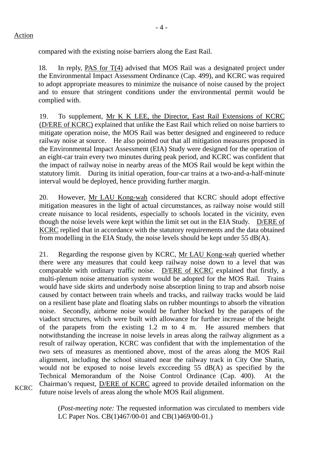compared with the existing noise barriers along the East Rail.

18. In reply, PAS for T(4) advised that MOS Rail was a designated project under the Environmental Impact Assessment Ordinance (Cap. 499), and KCRC was required to adopt appropriate measures to minimize the nuisance of noise caused by the project and to ensure that stringent conditions under the environmental permit would be complied with.

19. To supplement, Mr K K LEE, the Director, East Rail Extensions of KCRC (D/ERE of KCRC) explained that unlike the East Rail which relied on noise barriers to mitigate operation noise, the MOS Rail was better designed and engineered to reduce railway noise at source. He also pointed out that all mitigation measures proposed in the Environmental Impact Assessment (EIA) Study were designed for the operation of an eight-car train every two minutes during peak period, and KCRC was confident that the impact of railway noise in nearby areas of the MOS Rail would be kept within the statutory limit. During its initial operation, four-car trains at a two-and-a-half-minute interval would be deployed, hence providing further margin.

20. However, Mr LAU Kong-wah considered that KCRC should adopt effective mitigation measures in the light of actual circumstances, as railway noise would still create nuisance to local residents, especially to schools located in the vicinity, even though the noise levels were kept within the limit set out in the EIA Study. D/ERE of KCRC replied that in accordance with the statutory requirements and the data obtained from modelling in the EIA Study, the noise levels should be kept under 55 dB(A).

21. Regarding the response given by KCRC, Mr LAU Kong-wah queried whether there were any measures that could keep railway noise down to a level that was comparable with ordinary traffic noise. D/ERE of KCRC explained that firstly, a multi-plenum noise attenuation system would be adopted for the MOS Rail. Trains would have side skirts and underbody noise absorption lining to trap and absorb noise caused by contact between train wheels and tracks, and railway tracks would be laid on a resilient base plate and floating slabs on rubber mountings to absorb the vibration noise. Secondly, airborne noise would be further blocked by the parapets of the viaduct structures, which were built with allowance for further increase of the height of the parapets from the existing 1.2 m to 4 m. He assured members that notwithstanding the increase in noise levels in areas along the railway alignment as a result of railway operation, KCRC was confident that with the implementation of the two sets of measures as mentioned above, most of the areas along the MOS Rail alignment, including the school situated near the railway track in City One Shatin, would not be exposed to noise levels excceeding 55 dB(A) as specified by the Technical Memorandum of the Noise Control Ordinance (Cap. 400). At the Chairman's request, D/ERE of KCRC agreed to provide detailed information on the future noise levels of areas along the whole MOS Rail alignment.

(*Post-meeting note:* The requested information was circulated to members vide LC Paper Nos. CB(1)467/00-01 and CB(1)469/00-01.)

**KCRC**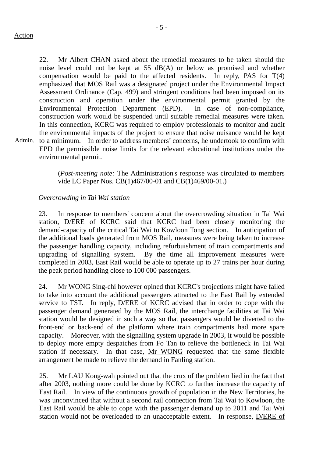- 5 -

Admin. to a minimum. In order to address members' concerns, he undertook to confirm with 22. Mr Albert CHAN asked about the remedial measures to be taken should the noise level could not be kept at 55 dB(A) or below as promised and whether compensation would be paid to the affected residents. In reply, PAS for  $T(4)$ emphasized that MOS Rail was a designated project under the Environmental Impact Assessment Ordinance (Cap. 499) and stringent conditions had been imposed on its construction and operation under the environmental permit granted by the Environmental Protection Department (EPD). In case of non-compliance, construction work would be suspended until suitable remedial measures were taken. In this connection, KCRC was required to employ professionals to monitor and audit the environmental impacts of the project to ensure that noise nuisance would be kept EPD the permissible noise limits for the relevant educational institutions under the environmental permit.

> (*Post-meeting note:* The Administration's response was circulated to members vide LC Paper Nos. CB(1)467/00-01 and CB(1)469/00-01.)

### *Overcrowding in Tai Wai station*

23. In response to members' concern about the overcrowding situation in Tai Wai station, D/ERE of KCRC said that KCRC had been closely monitoring the demand-capacity of the critical Tai Wai to Kowloon Tong section. In anticipation of the additional loads generated from MOS Rail, measures were being taken to increase the passenger handling capacity, including refurbuishment of train compartments and upgrading of signalling system. By the time all improvement measures were completed in 2003, East Rail would be able to operate up to 27 trains per hour during the peak period handling close to 100 000 passengers.

24. Mr WONG Sing-chi however opined that KCRC's projections might have failed to take into account the additional passengers attracted to the East Rail by extended service to TST. In reply, D/ERE of KCRC advised that in order to cope with the passenger demand generated by the MOS Rail, the interchange facilities at Tai Wai station would be designed in such a way so that passengers would be diverted to the front-end or back-end of the platform where train compartments had more spare capacity. Moreover, with the signalling system upgrade in 2003, it would be possible to deploy more empty despatches from Fo Tan to relieve the bottleneck in Tai Wai station if necessary. In that case, Mr WONG requested that the same flexible arrangement be made to relieve the demand in Fanling station.

25. Mr LAU Kong-wah pointed out that the crux of the problem lied in the fact that after 2003, nothing more could be done by KCRC to further increase the capacity of East Rail. In view of the continuous growth of population in the New Territories, he was unconvinced that without a second rail connection from Tai Wai to Kowloon, the East Rail would be able to cope with the passenger demand up to 2011 and Tai Wai station would not be overloaded to an unacceptable extent. In response, D/ERE of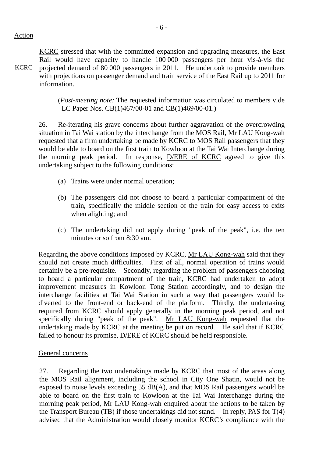Action

KCRC KCRC stressed that with the committed expansion and upgrading measures, the East Rail would have capacity to handle 100 000 passengers per hour vis-à-vis the projected demand of 80 000 passengers in 2011. He undertook to provide members with projections on passenger demand and train service of the East Rail up to 2011 for information.

> (*Post-meeting note:* The requested information was circulated to members vide LC Paper Nos. CB(1)467/00-01 and CB(1)469/00-01.)

26. Re-iterating his grave concerns about further aggravation of the overcrowding situation in Tai Wai station by the interchange from the MOS Rail, Mr LAU Kong-wah requested that a firm undertaking be made by KCRC to MOS Rail passengers that they would be able to board on the first train to Kowloon at the Tai Wai Interchange during the morning peak period. In response, D/ERE of KCRC agreed to give this undertaking subject to the following conditions:

- (a) Trains were under normal operation;
- (b) The passengers did not choose to board a particular compartment of the train, specifically the middle section of the train for easy access to exits when alighting; and
- (c) The undertaking did not apply during "peak of the peak", i.e. the ten minutes or so from 8:30 am.

Regarding the above conditions imposed by KCRC, Mr LAU Kong-wah said that they should not create much difficulties. First of all, normal operation of trains would certainly be a pre-requisite. Secondly, regarding the problem of passengers choosing to board a particular compartment of the train, KCRC had undertaken to adopt improvement measures in Kowloon Tong Station accordingly, and to design the interchange facilities at Tai Wai Station in such a way that passengers would be diverted to the front-end or back-end of the platform. Thirdly, the undertaking required from KCRC should apply generally in the morning peak period, and not specifically during "peak of the peak". Mr LAU Kong-wah requested that the undertaking made by KCRC at the meeting be put on record. He said that if KCRC failed to honour its promise, D/ERE of KCRC should be held responsible.

#### General concerns

27. Regarding the two undertakings made by KCRC that most of the areas along the MOS Rail alignment, including the school in City One Shatin, would not be exposed to noise levels exceeding 55 dB(A), and that MOS Rail passengers would be able to board on the first train to Kowloon at the Tai Wai Interchange during the morning peak period, Mr LAU Kong-wah enquired about the actions to be taken by the Transport Bureau (TB) if those undertakings did not stand. In reply, PAS for T(4) advised that the Administration would closely monitor KCRC's compliance with the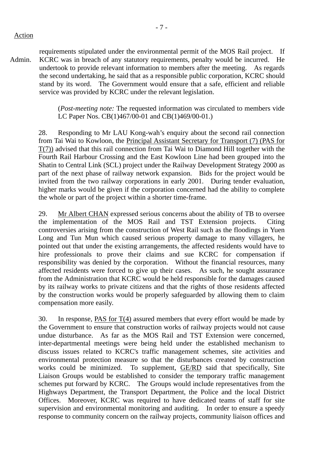Action

Admin. requirements stipulated under the environmental permit of the MOS Rail project. If KCRC was in breach of any statutory requirements, penalty would be incurred. He undertook to provide relevant information to members after the meeting. As regards the second undertaking, he said that as a responsible public corporation, KCRC should stand by its word. The Government would ensure that a safe, efficient and reliable service was provided by KCRC under the relevant legislation.

> (*Post-meeting note:* The requested information was circulated to members vide LC Paper Nos. CB(1)467/00-01 and CB(1)469/00-01.)

28. Responding to Mr LAU Kong-wah's enquiry about the second rail connection from Tai Wai to Kowloon, the Principal Assistant Secretary for Transport (7) (PAS for T(7)) advised that this rail connection from Tai Wai to Diamond Hill together with the Fourth Rail Harbour Crossing and the East Kowloon Line had been grouped into the Shatin to Central Link (SCL) project under the Railway Development Strategy 2000 as part of the next phase of railway network expansion. Bids for the project would be invited from the two railway corporations in early 2001. During tender evaluation, higher marks would be given if the corporation concerned had the ability to complete the whole or part of the project within a shorter time-frame.

29. Mr Albert CHAN expressed serious concerns about the ability of TB to oversee the implementation of the MOS Rail and TST Extension projects. Citing controversies arising from the construction of West Rail such as the floodings in Yuen Long and Tun Mun which caused serious property damage to many villagers, he pointed out that under the existing arrangements, the affected residents would have to hire professionals to prove their claims and sue KCRC for compensation if responsibility was denied by the corporation. Without the financial resources, many affected residents were forced to give up their cases. As such, he sought assurance from the Administration that KCRC would be held responsible for the damages caused by its railway works to private citizens and that the rights of those residents affected by the construction works would be properly safeguarded by allowing them to claim compensation more easily.

30. In response, PAS for T(4) assured members that every effort would be made by the Government to ensure that construction works of railway projects would not cause undue disturbance. As far as the MOS Rail and TST Extension were concerned, inter-departmental meetings were being held under the established mechanism to discuss issues related to KCRC's traffic management schemes, site activities and environmental protection measure so that the disturbances created by construction works could be minimized. To supplement, GE/RD said that specifically, Site Liaison Groups would be established to consider the temporary traffic management schemes put forward by KCRC. The Groups would include representatives from the Highways Department, the Transport Department, the Police and the local District Offices. Moreover, KCRC was required to have dedicated teams of staff for site supervision and environmental monitoring and auditing. In order to ensure a speedy response to community concern on the railway projects, community liaison offices and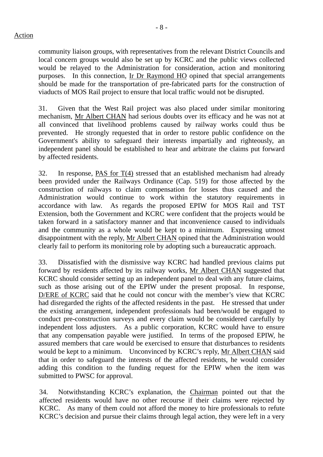community liaison groups, with representatives from the relevant District Councils and local concern groups would also be set up by KCRC and the public views collected would be relayed to the Administration for consideration, action and monitoring purposes. In this connection, Ir Dr Raymond HO opined that special arrangements should be made for the transportation of pre-fabricated parts for the construction of viaducts of MOS Rail project to ensure that local traffic would not be disrupted.

31. Given that the West Rail project was also placed under similar monitoring mechanism, Mr Albert CHAN had serious doubts over its efficacy and he was not at all convinced that livelihood problems caused by railway works could thus be prevented. He strongly requested that in order to restore public confidence on the Government's ability to safeguard their interests impartially and righteously, an independent panel should be established to hear and arbitrate the claims put forward by affected residents.

32. In response, PAS for T(4) stressed that an established mechanism had already been provided under the Railways Ordinance (Cap. 519) for those affected by the construction of railways to claim compensation for losses thus caused and the Administration would continue to work within the statutory requirements in accordance with law. As regards the proposed EPIW for MOS Rail and TST Extension, both the Government and KCRC were confident that the projects would be taken forward in a satisfactory manner and that inconvenience caused to individuals and the community as a whole would be kept to a minimum. Expressing utmost disappointment with the reply, Mr Albert CHAN opined that the Administration would clearly fail to perform its monitoring role by adopting such a bureaucratic approach.

33. Dissatisfied with the dismissive way KCRC had handled previous claims put forward by residents affected by its railway works, Mr Albert CHAN suggested that KCRC should consider setting up an independent panel to deal with any future claims, such as those arising out of the EPIW under the present proposal. In response, D/ERE of KCRC said that he could not concur with the member's view that KCRC had disregarded the rights of the affected residents in the past. He stressed that under the existing arrangement, independent professionals had been/would be engaged to conduct pre-construction surveys and every claim would be considered carefully by independent loss adjusters. As a public corporation, KCRC would have to ensure that any compensation payable were justified. In terms of the proposed EPIW, he assured members that care would be exercised to ensure that disturbances to residents would be kept to a minimum. Unconvinced by KCRC's reply, Mr Albert CHAN said that in order to safeguard the interests of the affected residents, he would consider adding this condition to the funding request for the EPIW when the item was submitted to PWSC for approval.

34. Notwithstanding KCRC's explanation, the Chairman pointed out that the affected residents would have no other recourse if their claims were rejected by KCRC. As many of them could not afford the money to hire professionals to refute KCRC's decision and pursue their claims through legal action, they were left in a very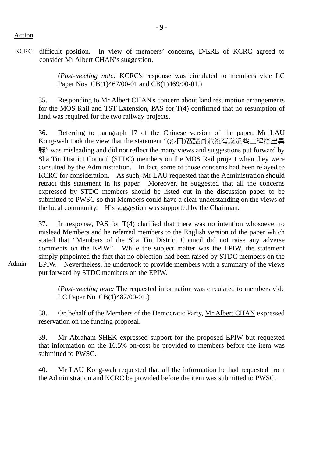#### Action

Admin.

KCRC difficult position. In view of members' concerns, D/ERE of KCRC agreed to consider Mr Albert CHAN's suggestion.

> (*Post-meeting note:* KCRC's response was circulated to members vide LC Paper Nos. CB(1)467/00-01 and CB(1)469/00-01.)

35. Responding to Mr Albert CHAN's concern about land resumption arrangements for the MOS Rail and TST Extension, PAS for T(4) confirmed that no resumption of land was required for the two railway projects.

36. Referring to paragraph 17 of the Chinese version of the paper, Mr LAU Kong-wah took the view that the statement "(沙田)區議員並沒有就這些工程提出異 議" was misleading and did not reflect the many views and suggestions put forward by Sha Tin District Council (STDC) members on the MOS Rail project when they were consulted by the Administration. In fact, some of those concerns had been relayed to KCRC for consideration. As such, Mr LAU requested that the Administration should retract this statement in its paper. Moreover, he suggested that all the concerns expressed by STDC members should be listed out in the discussion paper to be submitted to PWSC so that Members could have a clear understanding on the views of the local community. His suggestion was supported by the Chairman.

37. In response, PAS for T(4) clarified that there was no intention whosoever to mislead Members and he referred members to the English version of the paper which stated that "Members of the Sha Tin District Council did not raise any adverse comments on the EPIW". While the subject matter was the EPIW, the statement simply pinpointed the fact that no objection had been raised by STDC members on the EPIW. Nevertheless, he undertook to provide members with a summary of the views put forward by STDC members on the EPIW.

(*Post-meeting note:* The requested information was circulated to members vide LC Paper No. CB(1)482/00-01.)

38. On behalf of the Members of the Democratic Party, Mr Albert CHAN expressed reservation on the funding proposal.

39. Mr Abraham SHEK expressed support for the proposed EPIW but requested that information on the 16.5% on-cost be provided to members before the item was submitted to PWSC.

40. Mr LAU Kong-wah requested that all the information he had requested from the Administration and KCRC be provided before the item was submitted to PWSC.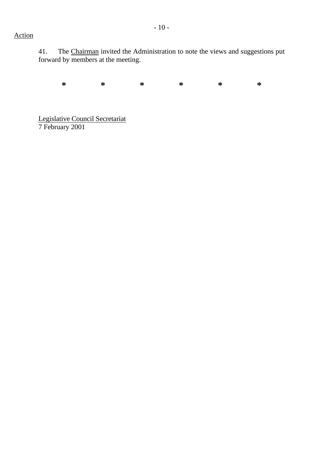# Action

41. The Chairman invited the Administration to note the views and suggestions put forward by members at the meeting.

**\* \* \* \* \* \*** 

Legislative Council Secretariat 7 February 2001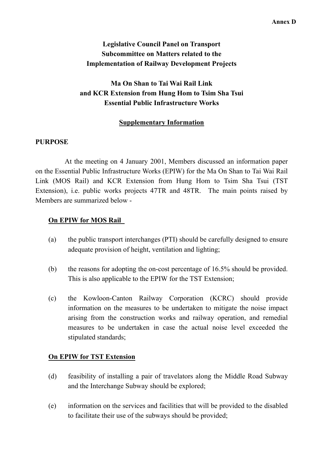# **Legislative Council Panel on Transport Subcommittee on Matters related to the Implementation of Railway Development Projects**

# **Ma On Shan to Tai Wai Rail Link and KCR Extension from Hung Hom to Tsim Sha Tsui Essential Public Infrastructure Works**

## **Supplementary Information**

### **PURPOSE**

 At the meeting on 4 January 2001, Members discussed an information paper on the Essential Public Infrastructure Works (EPIW) for the Ma On Shan to Tai Wai Rail Link (MOS Rail) and KCR Extension from Hung Hom to Tsim Sha Tsui (TST Extension), i.e. public works projects 47TR and 48TR. The main points raised by Members are summarized below -

### **On EPIW for MOS Rail**

- (a) the public transport interchanges (PTI) should be carefully designed to ensure adequate provision of height, ventilation and lighting;
- (b) the reasons for adopting the on-cost percentage of 16.5% should be provided. This is also applicable to the EPIW for the TST Extension;
- (c) the Kowloon-Canton Railway Corporation (KCRC) should provide information on the measures to be undertaken to mitigate the noise impact arising from the construction works and railway operation, and remedial measures to be undertaken in case the actual noise level exceeded the stipulated standards;

### **On EPIW for TST Extension**

- (d) feasibility of installing a pair of travelators along the Middle Road Subway and the Interchange Subway should be explored;
- (e) information on the services and facilities that will be provided to the disabled to facilitate their use of the subways should be provided;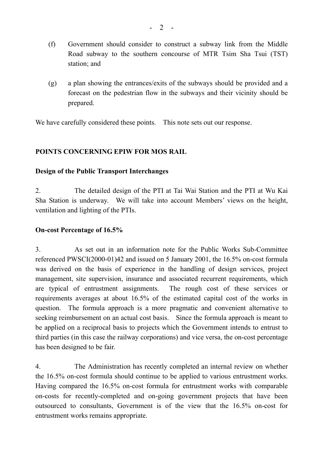- (f) Government should consider to construct a subway link from the Middle Road subway to the southern concourse of MTR Tsim Sha Tsui (TST) station; and
- (g) a plan showing the entrances/exits of the subways should be provided and a forecast on the pedestrian flow in the subways and their vicinity should be prepared.

We have carefully considered these points. This note sets out our response.

### **POINTS CONCERNING EPIW FOR MOS RAIL**

#### **Design of the Public Transport Interchanges**

2. The detailed design of the PTI at Tai Wai Station and the PTI at Wu Kai Sha Station is underway. We will take into account Members' views on the height, ventilation and lighting of the PTIs.

#### **On-cost Percentage of 16.5%**

3. As set out in an information note for the Public Works Sub-Committee referenced PWSCI(2000-01)42 and issued on 5 January 2001, the 16.5% on-cost formula was derived on the basis of experience in the handling of design services, project management, site supervision, insurance and associated recurrent requirements, which are typical of entrustment assignments. The rough cost of these services or requirements averages at about 16.5% of the estimated capital cost of the works in question. The formula approach is a more pragmatic and convenient alternative to seeking reimbursement on an actual cost basis. Since the formula approach is meant to be applied on a reciprocal basis to projects which the Government intends to entrust to third parties (in this case the railway corporations) and vice versa, the on-cost percentage has been designed to be fair.

4. The Administration has recently completed an internal review on whether the 16.5% on-cost formula should continue to be applied to various entrustment works. Having compared the 16.5% on-cost formula for entrustment works with comparable on-costs for recently-completed and on-going government projects that have been outsourced to consultants, Government is of the view that the 16.5% on-cost for entrustment works remains appropriate.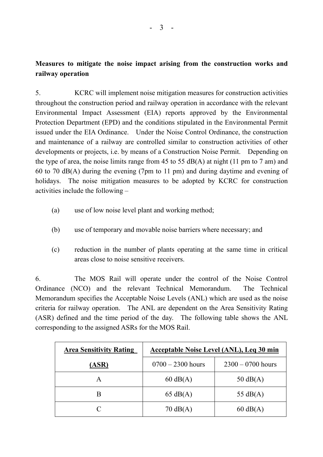# **Measures to mitigate the noise impact arising from the construction works and railway operation**

5. KCRC will implement noise mitigation measures for construction activities throughout the construction period and railway operation in accordance with the relevant Environmental Impact Assessment (EIA) reports approved by the Environmental Protection Department (EPD) and the conditions stipulated in the Environmental Permit issued under the EIA Ordinance. Under the Noise Control Ordinance, the construction and maintenance of a railway are controlled similar to construction activities of other developments or projects, i.e. by means of a Construction Noise Permit. Depending on the type of area, the noise limits range from 45 to 55  $dB(A)$  at night (11 pm to 7 am) and 60 to 70 dB(A) during the evening (7pm to 11 pm) and during daytime and evening of holidays. The noise mitigation measures to be adopted by KCRC for construction activities include the following  $-$ 

- (a) use of low noise level plant and working method;
- (b) use of temporary and movable noise barriers where necessary; and
- (c) reduction in the number of plants operating at the same time in critical areas close to noise sensitive receivers.

6. The MOS Rail will operate under the control of the Noise Control Ordinance (NCO) and the relevant Technical Memorandum. The Technical Memorandum specifies the Acceptable Noise Levels (ANL) which are used as the noise criteria for railway operation. The ANL are dependent on the Area Sensitivity Rating (ASR) defined and the time period of the day. The following table shows the ANL corresponding to the assigned ASRs for the MOS Rail.

| <b>Area Sensitivity Rating</b> | <b>Acceptable Noise Level (ANL), Leg 30 min</b> |                     |  |  |
|--------------------------------|-------------------------------------------------|---------------------|--|--|
| (ASR)                          | $0700 - 2300$ hours                             | $2300 - 0700$ hours |  |  |
| A                              | $60 \text{ dB}(A)$                              | $50 \text{ dB}(A)$  |  |  |
| В                              | $65 \text{ dB}(A)$                              | 55 $dB(A)$          |  |  |
|                                | $70 \text{ dB}(A)$                              | $60 \text{ dB}(A)$  |  |  |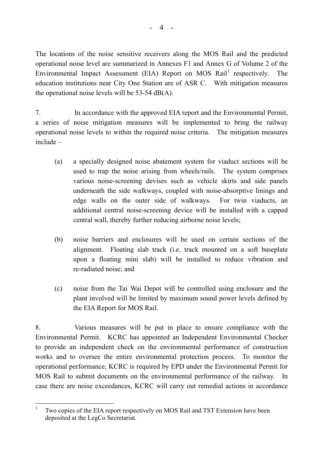The locations of the noise sensitive receivers along the MOS Rail and the predicted operational noise level are summarized in Annexes F1 and Annex G of Volume 2 of the Environmental Impact Assessment (EIA) Report on MOS Rail<sup>1</sup> respectively. The education institutions near City One Station are of ASR C. With mitigation measures the operational noise levels will be 53-54 dB(A).

7. In accordance with the approved EIA report and the Environmental Permit, a series of noise mitigation measures will be implemented to bring the railway operational noise levels to within the required noise criteria. The mitigation measures  $include -$ 

- (a) a specially designed noise abatement system for viaduct sections will be used to trap the noise arising from wheels/rails. The system comprises various noise-screening devises such as vehicle skirts and side panels underneath the side walkways, coupled with noise-absorptive linings and edge walls on the outer side of walkways. For twin viaducts, an additional central noise-screening device will be installed with a capped central wall, thereby further reducing airborne noise levels;
- (b) noise barriers and enclosures will be used on certain sections of the alignment. Floating slab track (i.e. track mounted on a soft baseplate upon a floating mini slab) will be installed to reduce vibration and re-radiated noise; and
- (c) noise from the Tai Wai Depot will be controlled using enclosure and the plant involved will be limited by maximum sound power levels defined by the EIA Report for MOS Rail.

8. Various measures will be put in place to ensure compliance with the Environmental Permit. KCRC has appointed an Independent Environmental Checker to provide an independent check on the environmental performance of construction works and to oversee the entire environmental protection process. To monitor the operational performance, KCRC is required by EPD under the Environmental Permit for MOS Rail to submit documents on the environmental performance of the railway. In case there are noise exceedances, KCRC will carry out remedial actions in accordance

 1 Two copies of the EIA report respectively on MOS Rail and TST Extension have been deposited at the LegCo Secretariat.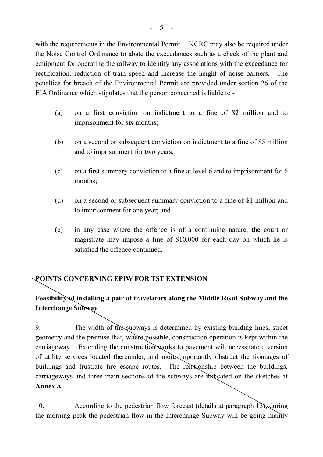with the requirements in the Environmental Permit. KCRC may also be required under the Noise Control Ordinance to abate the exceedances such as a check of the plant and equipment for operating the railway to identify any associations with the exceedance for rectification, reduction of train speed and increase the height of noise barriers. The penalties for breach of the Environmental Permit are provided under section 26 of the EIA Ordinance which stipulates that the person concerned is liable to -

- (a) on a first conviction on indictment to a fine of \$2 million and to imprisonment for six months;
- (b) on a second or subsequent conviction on indictment to a fine of \$5 million and to imprisonment for two years;
- (c) on a first summary conviction to a fine at level 6 and to imprisonment for 6 months;
- (d) on a second or subsequent summary conviction to a fine of \$1 million and to imprisonment for one year; and
- (e) in any case where the offence is of a continuing nature, the court or magistrate may impose a fine of \$10,000 for each day on which he is satisfied the offence continued.

### **POINTS CONCERNING EPIW FOR TST EXTENSION**

# **Feasibility of installing a pair of travelators along the Middle Road Subway and the Interchange Subway**

9. The width of the subways is determined by existing building lines, street geometry and the premise that, where possible, construction operation is kept within the carriageway. Extending the construction works to pavement will necessitate diversion of utility services located thereunder, and more importantly obstruct the frontages of buildings and frustrate fire escape routes. The relationship between the buildings, carriageways and three main sections of the subways are indicated on the sketches at **Annex A**.

10. According to the pedestrian flow forecast (details at paragraph 13), during the morning peak the pedestrian flow in the Interchange Subway will be going mainly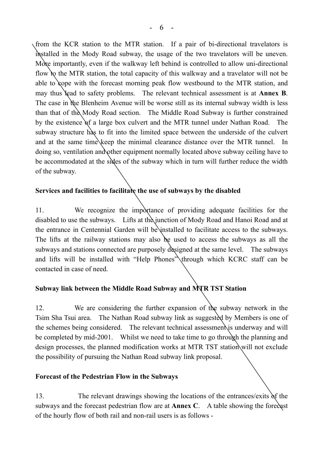from the KCR station to the MTR station. If a pair of bi-directional travelators is installed in the Mody Road subway, the usage of the two travelators will be uneven. More importantly, even if the walkway left behind is controlled to allow uni-directional flow to the MTR station, the total capacity of this walkway and a travelator will not be able to cope with the forecast morning peak flow westbound to the MTR station, and may thus lead to safety problems. The relevant technical assessment is at **Annex B**. The case in the Blenheim Avenue will be worse still as its internal subway width is less than that of the Mody Road section. The Middle Road Subway is further constrained by the existence of a large box culvert and the MTR tunnel under Nathan Road. The subway structure has to fit into the limited space between the underside of the culvert and at the same time keep the minimal clearance distance over the MTR tunnel. In doing so, ventilation and other equipment normally located above subway ceiling have to be accommodated at the sides of the subway which in turn will further reduce the width of the subway.

# **Services and facilities to facilitate the use of subways by the disabled**

11. We recognize the importance of providing adequate facilities for the disabled to use the subways. Lifts at the junction of Mody Road and Hanoi Road and at the entrance in Centennial Garden will be installed to facilitate access to the subways. The lifts at the railway stations may also be used to access the subways as all the subways and stations connected are purposely designed at the same level. The subways and lifts will be installed with "Help Phones" through which KCRC staff can be contacted in case of need.

### **Subway link between the Middle Road Subway and MTR TST Station**

12. We are considering the further expansion of the subway network in the Tsim Sha Tsui area. The Nathan Road subway link as suggested by Members is one of the schemes being considered. The relevant technical assessment is underway and will be completed by mid-2001. Whilst we need to take time to go through the planning and design processes, the planned modification works at MTR TST station will not exclude the possibility of pursuing the Nathan Road subway link proposal.

### **Forecast of the Pedestrian Flow in the Subways**

13. The relevant drawings showing the locations of the entrances/exits of the subways and the forecast pedestrian flow are at **Annex C**. A table showing the forecast of the hourly flow of both rail and non-rail users is as follows -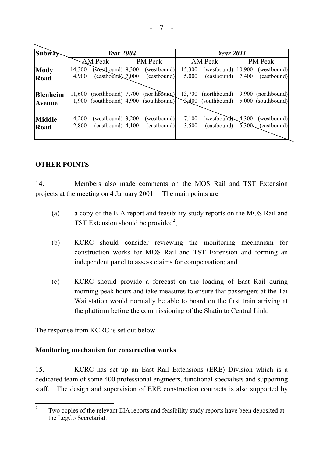| <b>Subway</b>   | <b>Year 2004</b> |                       |       | <b>Year 2011</b> |          |              |        |                    |
|-----------------|------------------|-----------------------|-------|------------------|----------|--------------|--------|--------------------|
|                 |                  | <b>AM Peak</b>        |       | PM Peak          |          | AM Peak      |        | PM Peak            |
| <b>Mody</b>     | 14,300           | (westbound)           | 9,300 | (westbound)      | 15,300   | (westbound)  | 10,900 | (westbound)        |
| Road            | 4,900            | $(eastbound) \ 7,000$ |       | (eastbound)      | 5,000    | (eastbound)  | 7,400  | (eastbound)        |
|                 |                  |                       |       |                  |          |              |        |                    |
| <b>Blenheim</b> | 11,600           | $(northbound)$ 7,700  |       | (northbound)     | 13,700   | (northbound) | 9,900  | (northbound)       |
| <b>Avenue</b>   | 1.900            | $(southbound)$ 4,900  |       | (southbound)     | $-3,400$ | (southbound) |        | 5,000 (southbound) |
|                 |                  |                       |       |                  |          |              |        |                    |
| <b>Middle</b>   | 4,200            | (westbound) $3,200$   |       | (westbound)      | 7,100    | (westbound)  | 4,300  | (westbound)        |
| Road            | 2,800            | $(eastbound)$ 4,100   |       | (eastbound)      | 3,500    | (eastbound)  | 5,300  | (eastbound)        |
|                 |                  |                       |       |                  |          |              |        |                    |

### **OTHER POINTS**

14. Members also made comments on the MOS Rail and TST Extension projects at the meeting on 4 January 2001. The main points are  $-\frac{1}{2}$ 

- (a) a copy of the EIA report and feasibility study reports on the MOS Rail and TST Extension should be provided<sup>2</sup>;
- (b) KCRC should consider reviewing the monitoring mechanism for construction works for MOS Rail and TST Extension and forming an independent panel to assess claims for compensation; and
- (c) KCRC should provide a forecast on the loading of East Rail during morning peak hours and take measures to ensure that passengers at the Tai Wai station would normally be able to board on the first train arriving at the platform before the commissioning of the Shatin to Central Link.

The response from KCRC is set out below.

### **Monitoring mechanism for construction works**

15. KCRC has set up an East Rail Extensions (ERE) Division which is a dedicated team of some 400 professional engineers, functional specialists and supporting staff. The design and supervision of ERE construction contracts is also supported by

 $\frac{1}{2}$  Two copies of the relevant EIA reports and feasibility study reports have been deposited at the LegCo Secretariat.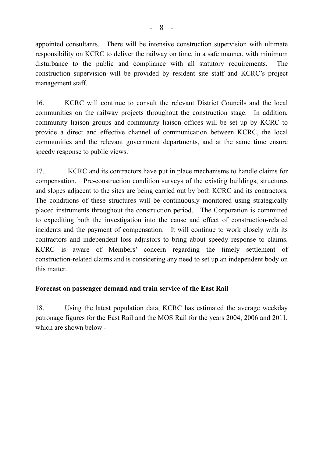appointed consultants. There will be intensive construction supervision with ultimate responsibility on KCRC to deliver the railway on time, in a safe manner, with minimum disturbance to the public and compliance with all statutory requirements. The construction supervision will be provided by resident site staff and KCRC's project management staff.

16. KCRC will continue to consult the relevant District Councils and the local communities on the railway projects throughout the construction stage. In addition, community liaison groups and community liaison offices will be set up by KCRC to provide a direct and effective channel of communication between KCRC, the local communities and the relevant government departments, and at the same time ensure speedy response to public views.

17. KCRC and its contractors have put in place mechanisms to handle claims for compensation. Pre-construction condition surveys of the existing buildings, structures and slopes adjacent to the sites are being carried out by both KCRC and its contractors. The conditions of these structures will be continuously monitored using strategically placed instruments throughout the construction period. The Corporation is committed to expediting both the investigation into the cause and effect of construction-related incidents and the payment of compensation. It will continue to work closely with its contractors and independent loss adjustors to bring about speedy response to claims. KCRC is aware of Members' concern regarding the timely settlement of construction-related claims and is considering any need to set up an independent body on this matter.

### **Forecast on passenger demand and train service of the East Rail**

18. Using the latest population data, KCRC has estimated the average weekday patronage figures for the East Rail and the MOS Rail for the years 2004, 2006 and 2011, which are shown below -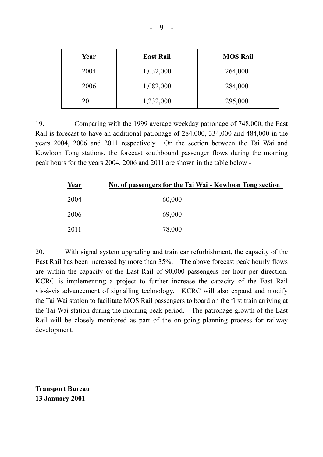| <u>Year</u> | <b>East Rail</b> | <b>MOS Rail</b> |
|-------------|------------------|-----------------|
| 2004        | 1,032,000        | 264,000         |
| 2006        | 1,082,000        | 284,000         |
| 2011        | 1,232,000        | 295,000         |

19. Comparing with the 1999 average weekday patronage of 748,000, the East Rail is forecast to have an additional patronage of 284,000, 334,000 and 484,000 in the years 2004, 2006 and 2011 respectively. On the section between the Tai Wai and Kowloon Tong stations, the forecast southbound passenger flows during the morning peak hours for the years 2004, 2006 and 2011 are shown in the table below -

| <u>Year</u> | No. of passengers for the Tai Wai - Kowloon Tong section |
|-------------|----------------------------------------------------------|
| 2004        | 60,000                                                   |
| 2006        | 69,000                                                   |
| 2011        | 78,000                                                   |

20. With signal system upgrading and train car refurbishment, the capacity of the East Rail has been increased by more than 35%. The above forecast peak hourly flows are within the capacity of the East Rail of 90,000 passengers per hour per direction. KCRC is implementing a project to further increase the capacity of the East Rail vis-à-vis advancement of signalling technology. KCRC will also expand and modify the Tai Wai station to facilitate MOS Rail passengers to board on the first train arriving at the Tai Wai station during the morning peak period. The patronage growth of the East Rail will be closely monitored as part of the on-going planning process for railway development.

**Transport Bureau 13 January 2001**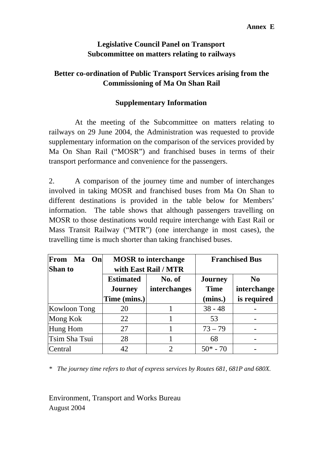# **Legislative Council Panel on Transport Subcommittee on matters relating to railways**

# **Better co-ordination of Public Transport Services arising from the Commissioning of Ma On Shan Rail**

# **Supplementary Information**

 At the meeting of the Subcommittee on matters relating to railways on 29 June 2004, the Administration was requested to provide supplementary information on the comparison of the services provided by Ma On Shan Rail ("MOSR") and franchised buses in terms of their transport performance and convenience for the passengers.

2. A comparison of the journey time and number of interchanges involved in taking MOSR and franchised buses from Ma On Shan to different destinations is provided in the table below for Members' information. The table shows that although passengers travelling on MOSR to those destinations would require interchange with East Rail or Mass Transit Railway ("MTR") (one interchange in most cases), the travelling time is much shorter than taking franchised buses.

| From<br>Ma<br>On <sub>l</sub><br>Shan to |                                    | <b>MOSR</b> to interchange<br>with East Rail / MTR |                               | <b>Franchised Bus</b>         |
|------------------------------------------|------------------------------------|----------------------------------------------------|-------------------------------|-------------------------------|
|                                          | <b>Estimated</b><br><b>Journey</b> | No. of<br>interchanges                             | <b>Journey</b><br><b>Time</b> | N <sub>0</sub><br>interchange |
|                                          | Time (mins.)                       |                                                    | (mins.)                       | is required                   |
| Kowloon Tong                             | 20                                 |                                                    | $38 - 48$                     |                               |
| Mong Kok                                 | 22                                 |                                                    | 53                            |                               |
| Hung Hom                                 | 27                                 |                                                    | $73 - 79$                     |                               |
| Tsim Sha Tsui                            | 28                                 |                                                    | 68                            |                               |
| Central                                  | 42                                 | $\mathfrak{D}$                                     | $50* - 70$                    |                               |

*\* The journey time refers to that of express services by Routes 681, 681P and 680X.* 

Environment, Transport and Works Bureau August 2004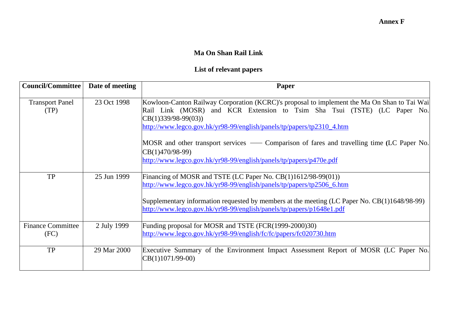#### **Ma On Shan Rail Link**

# **List of relevant papers**

| Council/Committee                | Date of meeting | Paper                                                                                                                                                                                                                                                                                                                                                                                                                                                                   |
|----------------------------------|-----------------|-------------------------------------------------------------------------------------------------------------------------------------------------------------------------------------------------------------------------------------------------------------------------------------------------------------------------------------------------------------------------------------------------------------------------------------------------------------------------|
| <b>Transport Panel</b><br>(TP)   | 23 Oct 1998     | Kowloon-Canton Railway Corporation (KCRC)'s proposal to implement the Ma On Shan to Tai Wai<br>Rail Link (MOSR) and KCR Extension to Tsim Sha Tsui (TSTE) (LC Paper No.<br>$CB(1)339/98-99(03))$<br>http://www.legco.gov.hk/yr98-99/english/panels/tp/papers/tp2310_4.htm<br>MOSR and other transport services — Comparison of fares and travelling time (LC Paper No.<br>$\vert$ CB(1)470/98-99)<br>http://www.legco.gov.hk/yr98-99/english/panels/tp/papers/p470e.pdf |
| <b>TP</b>                        | 25 Jun 1999     | Financing of MOSR and TSTE (LC Paper No. $CB(1)1612/98-99(01)$ )<br>http://www.legco.gov.hk/yr98-99/english/panels/tp/papers/tp2506_6.htm<br>Supplementary information requested by members at the meeting (LC Paper No. CB(1)1648/98-99)<br>http://www.legco.gov.hk/yr98-99/english/panels/tp/papers/p1648e1.pdf                                                                                                                                                       |
| <b>Finance Committee</b><br>(FC) | 2 July 1999     | Funding proposal for MOSR and TSTE (FCR(1999-2000)30)<br>http://www.legco.gov.hk/yr98-99/english/fc/fc/papers/fc020730.htm                                                                                                                                                                                                                                                                                                                                              |
| <b>TP</b>                        | 29 Mar 2000     | Executive Summary of the Environment Impact Assessment Report of MOSR (LC Paper No.<br>$ CB(1)1071/99-00 $                                                                                                                                                                                                                                                                                                                                                              |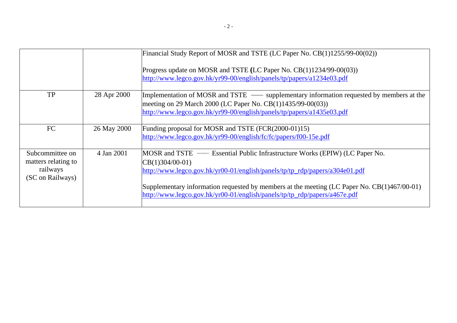|                                                                        |             | Financial Study Report of MOSR and TSTE (LC Paper No. CB(1)1255/99-00(02))<br>Progress update on MOSR and TSTE (LC Paper No. CB(1)1234/99-00(03))<br>http://www.legco.gov.hk/yr99-00/english/panels/tp/papers/a1234e03.pdf                                                                                                                                        |
|------------------------------------------------------------------------|-------------|-------------------------------------------------------------------------------------------------------------------------------------------------------------------------------------------------------------------------------------------------------------------------------------------------------------------------------------------------------------------|
| <b>TP</b>                                                              | 28 Apr 2000 | Implementation of MOSR and TSTE — supplementary information requested by members at the<br>meeting on 29 March 2000 (LC Paper No. CB(1)1435/99-00(03))<br>http://www.legco.gov.hk/yr99-00/english/panels/tp/papers/a1435e03.pdf                                                                                                                                   |
| FC                                                                     | 26 May 2000 | Funding proposal for MOSR and TSTE (FCR(2000-01)15)<br>http://www.legco.gov.hk/yr99-00/english/fc/fc/papers/f00-15e.pdf                                                                                                                                                                                                                                           |
| Subcommittee on<br>matters relating to<br>railways<br>(SC on Railways) | 4 Jan 2001  | MOSR and TSTE — Essential Public Infrastructure Works (EPIW) (LC Paper No.<br>$ CB(1)304/00-01\rangle$<br>http://www.legco.gov.hk/yr00-01/english/panels/tp/tp_rdp/papers/a304e01.pdf<br>Supplementary information requested by members at the meeting (LC Paper No. CB(1)467/00-01)<br>http://www.legco.gov.hk/yr00-01/english/panels/tp/tp_rdp/papers/a467e.pdf |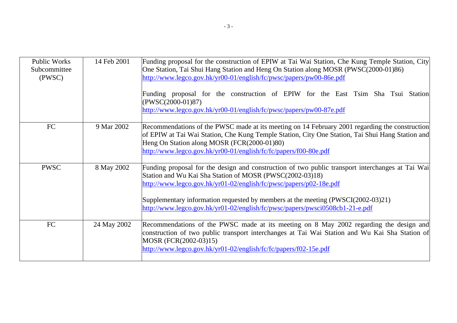| <b>Public Works</b><br>Subcommittee<br>(PWSC) | 14 Feb 2001 | Funding proposal for the construction of EPIW at Tai Wai Station, Che Kung Temple Station, City<br>One Station, Tai Shui Hang Station and Heng On Station along MOSR (PWSC(2000-01)86)<br>http://www.legco.gov.hk/yr00-01/english/fc/pwsc/papers/pw00-86e.pdf<br>Funding proposal for the construction of EPIW for the East Tsim Sha Tsui Station<br>$(PWSC(2000-01)87)$<br>http://www.legco.gov.hk/yr00-01/english/fc/pwsc/papers/pw00-87e.pdf |
|-----------------------------------------------|-------------|-------------------------------------------------------------------------------------------------------------------------------------------------------------------------------------------------------------------------------------------------------------------------------------------------------------------------------------------------------------------------------------------------------------------------------------------------|
| FC                                            | 9 Mar 2002  | Recommendations of the PWSC made at its meeting on 14 February 2001 regarding the construction<br>of EPIW at Tai Wai Station, Che Kung Temple Station, City One Station, Tai Shui Hang Station and<br>Heng On Station along MOSR (FCR(2000-01)80)<br>http://www.legco.gov.hk/yr00-01/english/fc/fc/papers/f00-80e.pdf                                                                                                                           |
| <b>PWSC</b>                                   | 8 May 2002  | Funding proposal for the design and construction of two public transport interchanges at Tai Wai<br>Station and Wu Kai Sha Station of MOSR (PWSC(2002-03)18)<br>http://www.legco.gov.hk/yr01-02/english/fc/pwsc/papers/p02-18e.pdf<br>Supplementary information requested by members at the meeting (PWSCI(2002-03)21)<br>http://www.legco.gov.hk/yr01-02/english/fc/pwsc/papers/pwsci0508cb1-21-e.pdf                                          |
| <b>FC</b>                                     | 24 May 2002 | Recommendations of the PWSC made at its meeting on 8 May 2002 regarding the design and<br>construction of two public transport interchanges at Tai Wai Station and Wu Kai Sha Station of<br>MOSR (FCR(2002-03)15)<br>http://www.legco.gov.hk/yr01-02/english/fc/fc/papers/f02-15e.pdf                                                                                                                                                           |